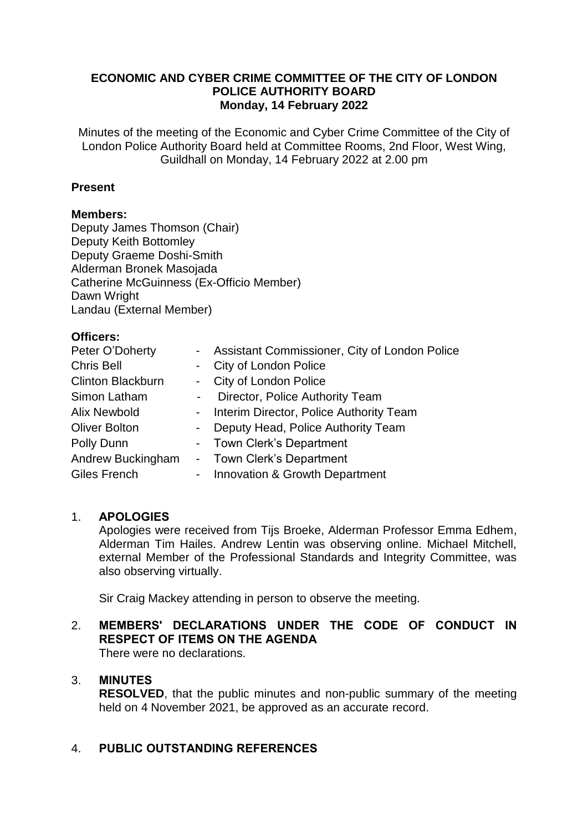# **ECONOMIC AND CYBER CRIME COMMITTEE OF THE CITY OF LONDON POLICE AUTHORITY BOARD Monday, 14 February 2022**

Minutes of the meeting of the Economic and Cyber Crime Committee of the City of London Police Authority Board held at Committee Rooms, 2nd Floor, West Wing, Guildhall on Monday, 14 February 2022 at 2.00 pm

# **Present**

# **Members:**

Deputy James Thomson (Chair) Deputy Keith Bottomley Deputy Graeme Doshi-Smith Alderman Bronek Masojada Catherine McGuinness (Ex-Officio Member) Dawn Wright Landau (External Member)

# **Officers:**

| Peter O'Doherty          |            | - Assistant Commissioner, City of London Police |
|--------------------------|------------|-------------------------------------------------|
| <b>Chris Bell</b>        |            | - City of London Police                         |
| <b>Clinton Blackburn</b> |            | - City of London Police                         |
| Simon Latham             | $\sim 100$ | Director, Police Authority Team                 |
| <b>Alix Newbold</b>      |            | - Interim Director, Police Authority Team       |
| <b>Oliver Bolton</b>     |            | - Deputy Head, Police Authority Team            |
| Polly Dunn               |            | - Town Clerk's Department                       |
| Andrew Buckingham        |            | - Town Clerk's Department                       |
| Giles French             | $\sim$     | Innovation & Growth Department                  |

# 1. **APOLOGIES**

Apologies were received from Tijs Broeke, Alderman Professor Emma Edhem, Alderman Tim Hailes. Andrew Lentin was observing online. Michael Mitchell, external Member of the Professional Standards and Integrity Committee, was also observing virtually.

Sir Craig Mackey attending in person to observe the meeting.

# 2. **MEMBERS' DECLARATIONS UNDER THE CODE OF CONDUCT IN RESPECT OF ITEMS ON THE AGENDA**

There were no declarations.

# 3. **MINUTES**

**RESOLVED**, that the public minutes and non-public summary of the meeting held on 4 November 2021, be approved as an accurate record.

# 4. **PUBLIC OUTSTANDING REFERENCES**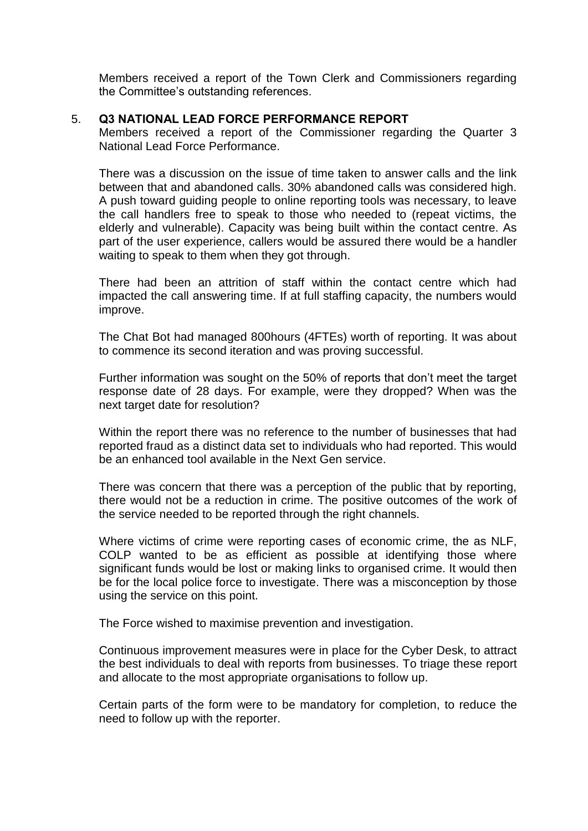Members received a report of the Town Clerk and Commissioners regarding the Committee's outstanding references.

# 5. **Q3 NATIONAL LEAD FORCE PERFORMANCE REPORT**

Members received a report of the Commissioner regarding the Quarter 3 National Lead Force Performance.

There was a discussion on the issue of time taken to answer calls and the link between that and abandoned calls. 30% abandoned calls was considered high. A push toward guiding people to online reporting tools was necessary, to leave the call handlers free to speak to those who needed to (repeat victims, the elderly and vulnerable). Capacity was being built within the contact centre. As part of the user experience, callers would be assured there would be a handler waiting to speak to them when they got through.

There had been an attrition of staff within the contact centre which had impacted the call answering time. If at full staffing capacity, the numbers would improve.

The Chat Bot had managed 800hours (4FTEs) worth of reporting. It was about to commence its second iteration and was proving successful.

Further information was sought on the 50% of reports that don't meet the target response date of 28 days. For example, were they dropped? When was the next target date for resolution?

Within the report there was no reference to the number of businesses that had reported fraud as a distinct data set to individuals who had reported. This would be an enhanced tool available in the Next Gen service.

There was concern that there was a perception of the public that by reporting, there would not be a reduction in crime. The positive outcomes of the work of the service needed to be reported through the right channels.

Where victims of crime were reporting cases of economic crime, the as NLF, COLP wanted to be as efficient as possible at identifying those where significant funds would be lost or making links to organised crime. It would then be for the local police force to investigate. There was a misconception by those using the service on this point.

The Force wished to maximise prevention and investigation.

Continuous improvement measures were in place for the Cyber Desk, to attract the best individuals to deal with reports from businesses. To triage these report and allocate to the most appropriate organisations to follow up.

Certain parts of the form were to be mandatory for completion, to reduce the need to follow up with the reporter.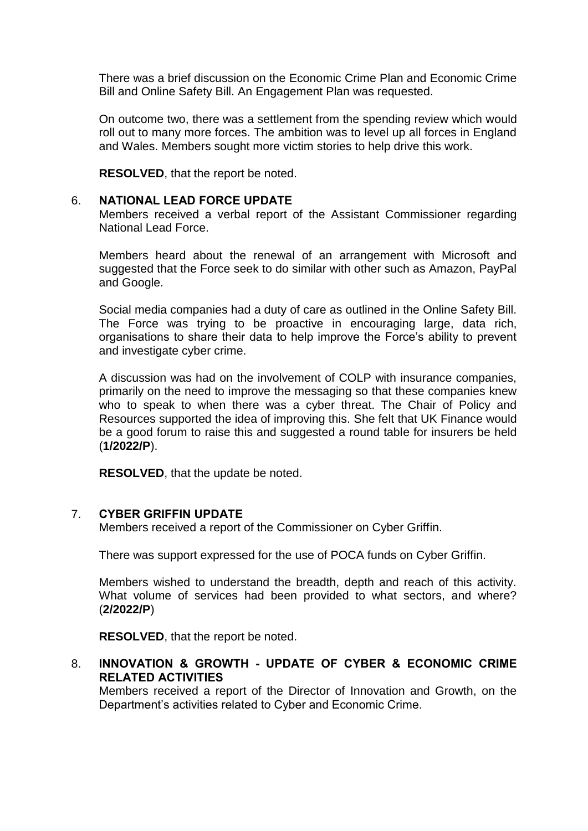There was a brief discussion on the Economic Crime Plan and Economic Crime Bill and Online Safety Bill. An Engagement Plan was requested.

On outcome two, there was a settlement from the spending review which would roll out to many more forces. The ambition was to level up all forces in England and Wales. Members sought more victim stories to help drive this work.

**RESOLVED**, that the report be noted.

#### 6. **NATIONAL LEAD FORCE UPDATE**

Members received a verbal report of the Assistant Commissioner regarding National Lead Force.

Members heard about the renewal of an arrangement with Microsoft and suggested that the Force seek to do similar with other such as Amazon, PayPal and Google.

Social media companies had a duty of care as outlined in the Online Safety Bill. The Force was trying to be proactive in encouraging large, data rich, organisations to share their data to help improve the Force's ability to prevent and investigate cyber crime.

A discussion was had on the involvement of COLP with insurance companies, primarily on the need to improve the messaging so that these companies knew who to speak to when there was a cyber threat. The Chair of Policy and Resources supported the idea of improving this. She felt that UK Finance would be a good forum to raise this and suggested a round table for insurers be held (**1/2022/P**).

**RESOLVED**, that the update be noted.

# 7. **CYBER GRIFFIN UPDATE**

Members received a report of the Commissioner on Cyber Griffin.

There was support expressed for the use of POCA funds on Cyber Griffin.

Members wished to understand the breadth, depth and reach of this activity. What volume of services had been provided to what sectors, and where? (**2/2022/P**)

**RESOLVED**, that the report be noted.

# 8. **INNOVATION & GROWTH - UPDATE OF CYBER & ECONOMIC CRIME RELATED ACTIVITIES**

Members received a report of the Director of Innovation and Growth, on the Department's activities related to Cyber and Economic Crime.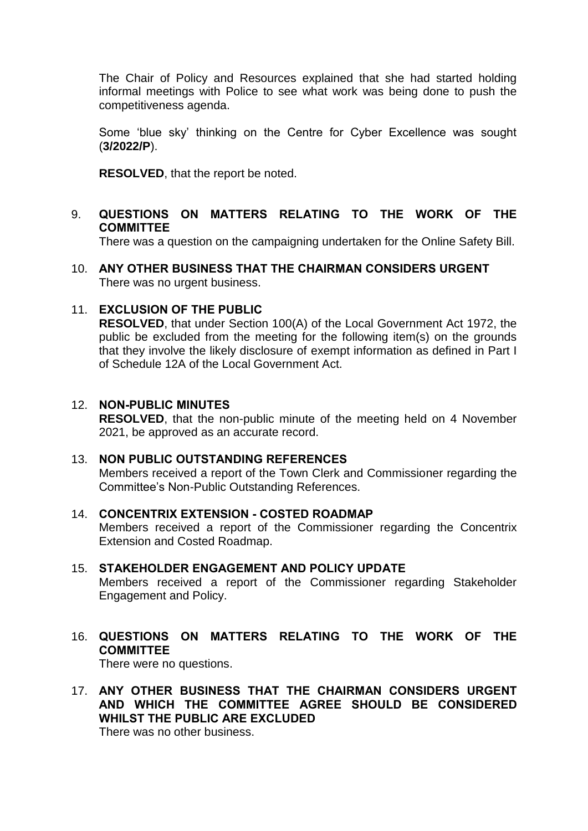The Chair of Policy and Resources explained that she had started holding informal meetings with Police to see what work was being done to push the competitiveness agenda.

Some 'blue sky' thinking on the Centre for Cyber Excellence was sought (**3/2022/P**).

**RESOLVED**, that the report be noted.

# 9. **QUESTIONS ON MATTERS RELATING TO THE WORK OF THE COMMITTEE**

There was a question on the campaigning undertaken for the Online Safety Bill.

10. **ANY OTHER BUSINESS THAT THE CHAIRMAN CONSIDERS URGENT** There was no urgent business.

# 11. **EXCLUSION OF THE PUBLIC**

**RESOLVED**, that under Section 100(A) of the Local Government Act 1972, the public be excluded from the meeting for the following item(s) on the grounds that they involve the likely disclosure of exempt information as defined in Part I of Schedule 12A of the Local Government Act.

#### 12. **NON-PUBLIC MINUTES**

**RESOLVED**, that the non-public minute of the meeting held on 4 November 2021, be approved as an accurate record.

# 13. **NON PUBLIC OUTSTANDING REFERENCES**

Members received a report of the Town Clerk and Commissioner regarding the Committee's Non-Public Outstanding References.

#### 14. **CONCENTRIX EXTENSION - COSTED ROADMAP** Members received a report of the Commissioner regarding the Concentrix Extension and Costed Roadmap.

- 15. **STAKEHOLDER ENGAGEMENT AND POLICY UPDATE** Members received a report of the Commissioner regarding Stakeholder Engagement and Policy.
- 16. **QUESTIONS ON MATTERS RELATING TO THE WORK OF THE COMMITTEE**

There were no questions.

17. **ANY OTHER BUSINESS THAT THE CHAIRMAN CONSIDERS URGENT AND WHICH THE COMMITTEE AGREE SHOULD BE CONSIDERED WHILST THE PUBLIC ARE EXCLUDED**

There was no other business.